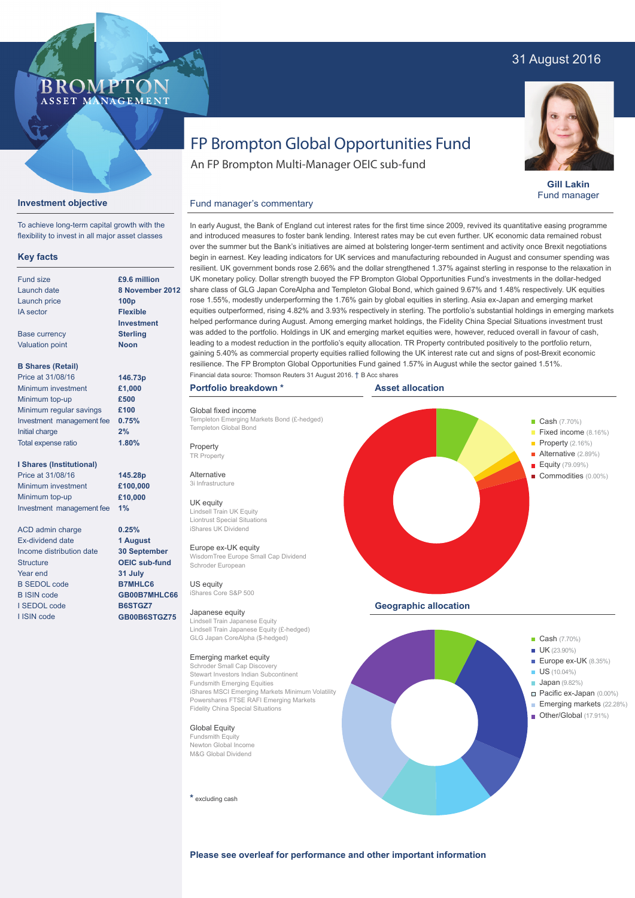## 31 August 2016



**Gill Lakin** Fund manager

## FP Brompton Global Opportunities Fund

An FP Brompton Multi-Manager OEIC sub-fund

### **Investment objective**

To achieve long-term capital growth with the flexibility to invest in all major asset classes

**BROMP** 

ASSET MANAGEMENT

#### **Key facts**

| Fund size                 | £9.6 million      |  |  |
|---------------------------|-------------------|--|--|
| Launch date               | 8 November 2012   |  |  |
| Launch price              | 100 <sub>p</sub>  |  |  |
| <b>IA</b> sector          | <b>Flexible</b>   |  |  |
|                           | <b>Investment</b> |  |  |
| <b>Base currency</b>      | <b>Sterling</b>   |  |  |
| <b>Valuation point</b>    | <b>Noon</b>       |  |  |
| <b>B Shares (Retail)</b>  |                   |  |  |
| Price at 31/08/16         | 146.73p           |  |  |
| Minimum investment        | £1,000            |  |  |
| Minimum top-up            | £500              |  |  |
| Minimum regular savings   | £100              |  |  |
| Investment management fee | 0.75%             |  |  |
| Initial charge            | 2%                |  |  |

#### **I Shares (Institutional)**

Total expense ratio

Price at 31/08/16 Minimum investment Minimum top-up Investment management fee

ACD admin charge Ex-dividend date Income distribution date **Structure** Year end B SEDOL code B ISIN code I SEDOL code I ISIN code

and introduced measures to foster bank lending. Interest rates may be cut even further. UK economic data remained robust over the summer but the Bank's initiatives are aimed at bolstering longer-term sentiment and activity once Brexit negotiations begin in earnest. Key leading indicators for UK services and manufacturing rebounded in August and consumer spending was resilient. UK government bonds rose 2.66% and the dollar strengthened 1.37% against sterling in response to the relaxation in UK monetary policy. Dollar strength buoyed the FP Brompton Global Opportunities Fund's investments in the dollar-hedged share class of GLG Japan CoreAlpha and Templeton Global Bond, which gained 9.67% and 1.48% respectively. UK equities rose 1.55%, modestly underperforming the 1.76% gain by global equities in sterling. Asia ex-Japan and emerging market equities outperformed, rising 4.82% and 3.93% respectively in sterling. The portfolio's substantial holdings in emerging markets helped performance during August. Among emerging market holdings, the Fidelity China Special Situations investment trust was added to the portfolio. Holdings in UK and emerging market equities were, however, reduced overall in favour of cash, leading to a modest reduction in the portfolio's equity allocation. TR Property contributed positively to the portfolio return, gaining 5.40% as commercial property equities rallied following the UK interest rate cut and signs of post-Brexit economic resilience. The FP Brompton Global Opportunities Fund gained 1.57% in August while the sector gained 1.51%. Financial data source: Thomson Reuters 31 August 2016. † B Acc shares

In early August, the Bank of England cut interest rates for the first time since 2009, revived its quantitative easing programme

#### **Portfolio breakdown \***

Global fixed income Templeton Emerging Markets Bond (£-hedged) Templeton Global Bond

Fund manager's commentary

**Property** 

TR Property Alternative

## 3i Infrastructure

UK equity Lindsell Train UK Equity Liontrust Special Situations iShares UK Dividend

#### Europe ex-UK equity

WisdomTree Europe Small Cap Dividend Schroder European US equity

iShares Core S&P 500

#### Japanese equity

Lindsell Train Japanese Equity Lindsell Train Japanese Equity (£-hedged) GLG Japan CoreAlpha (\$-hedged)

#### Emerging market equity

Schroder Small Cap Discovery Stewart Investors Indian Subcontinent Fundsmith Emerging Equities iShares MSCI Emerging Markets Minimum Volatility Powershares FTSE RAFI Emerging Markets Fidelity China Special Situations

**Global Equity** Fundsmith Equity

**\*** excluding cash





# Newton Global Income M&G Global Dividend

**Please see overleaf for performance and other important information**

**145.28p £100,000 £10,000 1%**

**1.80%**

**0.25% 1 August 30 September OEIC sub-fund 31 July B7MHLC6 GB00B7MHLC66 B6STGZ7 GB00B6STGZ75**